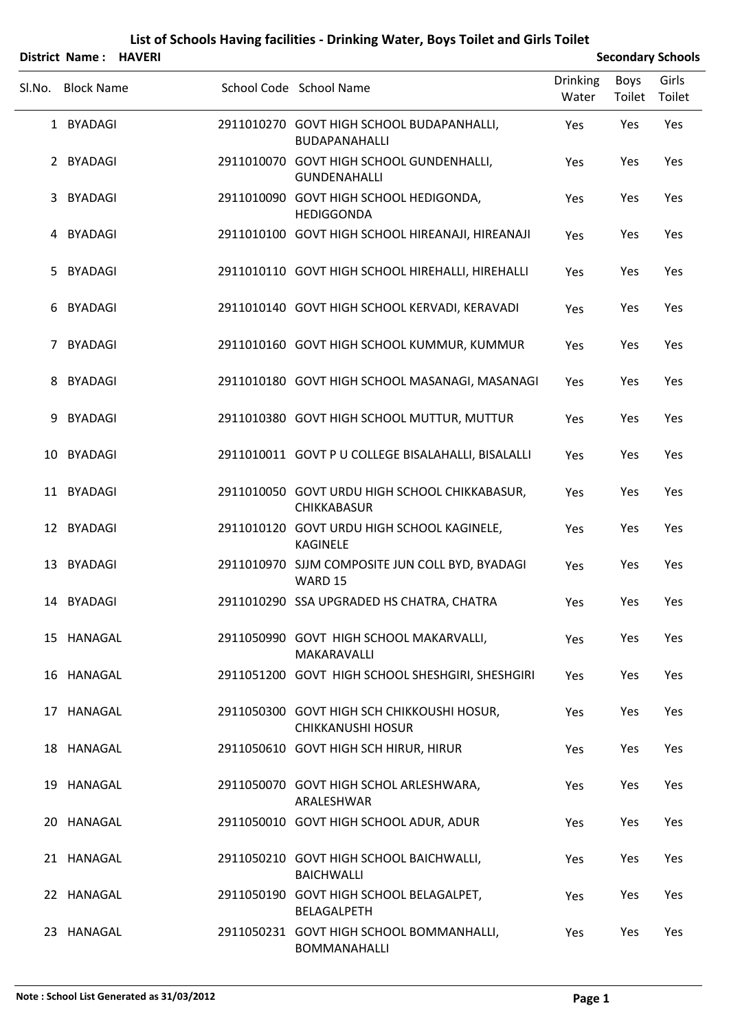|        | District Name: HAVERI |  |                                                                        |                          |                | <b>Secondary Schools</b> |
|--------|-----------------------|--|------------------------------------------------------------------------|--------------------------|----------------|--------------------------|
| Sl.No. | <b>Block Name</b>     |  | School Code School Name                                                | <b>Drinking</b><br>Water | Boys<br>Toilet | Girls<br>Toilet          |
|        | 1 BYADAGI             |  | 2911010270 GOVT HIGH SCHOOL BUDAPANHALLI,<br><b>BUDAPANAHALLI</b>      | Yes                      | Yes            | Yes                      |
|        | 2 BYADAGI             |  | 2911010070 GOVT HIGH SCHOOL GUNDENHALLI,<br><b>GUNDENAHALLI</b>        | Yes                      | Yes            | Yes                      |
| 3      | <b>BYADAGI</b>        |  | 2911010090 GOVT HIGH SCHOOL HEDIGONDA,<br><b>HEDIGGONDA</b>            | Yes                      | Yes            | Yes                      |
| 4      | BYADAGI               |  | 2911010100 GOVT HIGH SCHOOL HIREANAJI, HIREANAJI                       | Yes                      | Yes            | Yes                      |
| 5.     | <b>BYADAGI</b>        |  | 2911010110 GOVT HIGH SCHOOL HIREHALLI, HIREHALLI                       | Yes                      | Yes            | Yes                      |
| 6      | <b>BYADAGI</b>        |  | 2911010140 GOVT HIGH SCHOOL KERVADI, KERAVADI                          | Yes                      | Yes            | Yes                      |
| 7      | <b>BYADAGI</b>        |  | 2911010160 GOVT HIGH SCHOOL KUMMUR, KUMMUR                             | Yes                      | Yes            | Yes                      |
| 8      | BYADAGI               |  | 2911010180 GOVT HIGH SCHOOL MASANAGI, MASANAGI                         | Yes                      | Yes            | Yes                      |
| 9      | <b>BYADAGI</b>        |  | 2911010380 GOVT HIGH SCHOOL MUTTUR, MUTTUR                             | Yes                      | Yes            | Yes                      |
| 10     | <b>BYADAGI</b>        |  | 2911010011 GOVT P U COLLEGE BISALAHALLI, BISALALLI                     | Yes                      | Yes            | Yes                      |
|        | 11 BYADAGI            |  | 2911010050 GOVT URDU HIGH SCHOOL CHIKKABASUR,<br><b>CHIKKABASUR</b>    | Yes                      | Yes            | Yes                      |
|        | 12 BYADAGI            |  | 2911010120 GOVT URDU HIGH SCHOOL KAGINELE,<br><b>KAGINELE</b>          | Yes                      | Yes            | Yes                      |
| 13     | <b>BYADAGI</b>        |  | 2911010970 SJJM COMPOSITE JUN COLL BYD, BYADAGI<br>WARD 15             | Yes                      | Yes            | Yes                      |
|        | 14 BYADAGI            |  | 2911010290 SSA UPGRADED HS CHATRA, CHATRA                              | Yes                      | Yes            | Yes                      |
|        | 15 HANAGAL            |  | 2911050990 GOVT HIGH SCHOOL MAKARVALLI,<br>MAKARAVALLI                 | Yes                      | Yes            | Yes                      |
|        | 16 HANAGAL            |  | 2911051200 GOVT HIGH SCHOOL SHESHGIRI, SHESHGIRI                       | Yes                      | Yes            | Yes                      |
|        | 17 HANAGAL            |  | 2911050300 GOVT HIGH SCH CHIKKOUSHI HOSUR,<br><b>CHIKKANUSHI HOSUR</b> | Yes                      | Yes            | Yes                      |
|        | 18 HANAGAL            |  | 2911050610 GOVT HIGH SCH HIRUR, HIRUR                                  | Yes                      | Yes            | Yes                      |
|        | 19 HANAGAL            |  | 2911050070 GOVT HIGH SCHOL ARLESHWARA,<br>ARALESHWAR                   | Yes                      | Yes            | Yes                      |
|        | 20 HANAGAL            |  | 2911050010 GOVT HIGH SCHOOL ADUR, ADUR                                 | Yes                      | Yes            | Yes                      |
|        | 21 HANAGAL            |  | 2911050210 GOVT HIGH SCHOOL BAICHWALLI,<br><b>BAICHWALLI</b>           | Yes                      | Yes            | Yes                      |
|        | 22 HANAGAL            |  | 2911050190 GOVT HIGH SCHOOL BELAGALPET,<br><b>BELAGALPETH</b>          | Yes                      | Yes            | Yes                      |
|        | 23 HANAGAL            |  | 2911050231 GOVT HIGH SCHOOL BOMMANHALLI,<br>BOMMANAHALLI               | Yes                      | Yes            | Yes                      |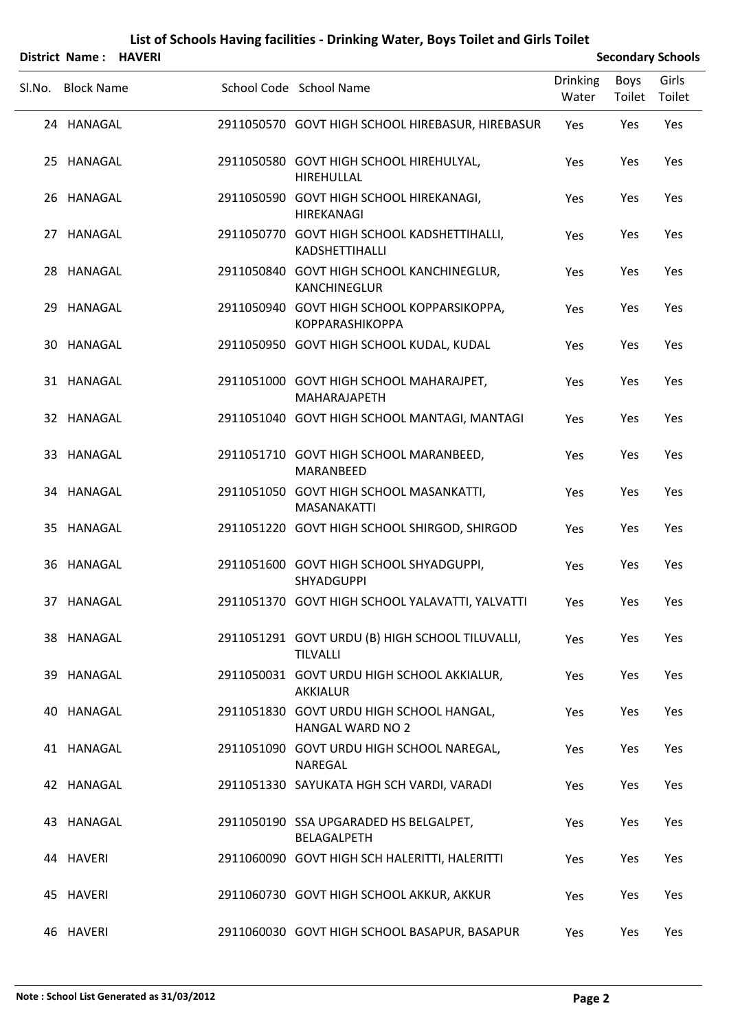|        | District Name: HAVERI |  |                                                                      | <b>Secondary Schools</b> |                |                 |  |
|--------|-----------------------|--|----------------------------------------------------------------------|--------------------------|----------------|-----------------|--|
| SI.No. | <b>Block Name</b>     |  | School Code School Name                                              | <b>Drinking</b><br>Water | Boys<br>Toilet | Girls<br>Toilet |  |
|        | 24 HANAGAL            |  | 2911050570 GOVT HIGH SCHOOL HIREBASUR, HIREBASUR                     | Yes                      | Yes            | Yes             |  |
|        | 25 HANAGAL            |  | 2911050580 GOVT HIGH SCHOOL HIREHULYAL,<br>HIREHULLAL                | Yes                      | Yes            | Yes             |  |
|        | 26 HANAGAL            |  | 2911050590 GOVT HIGH SCHOOL HIREKANAGI,<br>HIREKANAGI                | Yes                      | Yes            | Yes             |  |
|        | 27 HANAGAL            |  | 2911050770 GOVT HIGH SCHOOL KADSHETTIHALLI,<br>KADSHETTIHALLI        | Yes                      | Yes            | Yes             |  |
|        | 28 HANAGAL            |  | 2911050840 GOVT HIGH SCHOOL KANCHINEGLUR,<br><b>KANCHINEGLUR</b>     | Yes                      | Yes            | Yes             |  |
| 29     | HANAGAL               |  | 2911050940 GOVT HIGH SCHOOL KOPPARSIKOPPA,<br><b>KOPPARASHIKOPPA</b> | Yes                      | Yes            | Yes             |  |
|        | 30 HANAGAL            |  | 2911050950 GOVT HIGH SCHOOL KUDAL, KUDAL                             | Yes                      | Yes            | Yes             |  |
|        | 31 HANAGAL            |  | 2911051000 GOVT HIGH SCHOOL MAHARAJPET,<br><b>MAHARAJAPETH</b>       | Yes                      | Yes            | Yes             |  |
|        | 32 HANAGAL            |  | 2911051040 GOVT HIGH SCHOOL MANTAGI, MANTAGI                         | Yes                      | Yes            | Yes             |  |
|        | 33 HANAGAL            |  | 2911051710 GOVT HIGH SCHOOL MARANBEED,<br>MARANBEED                  | Yes                      | Yes            | Yes             |  |
|        | 34 HANAGAL            |  | 2911051050 GOVT HIGH SCHOOL MASANKATTI,<br><b>MASANAKATTI</b>        | Yes                      | Yes            | Yes             |  |
| 35     | HANAGAL               |  | 2911051220 GOVT HIGH SCHOOL SHIRGOD, SHIRGOD                         | Yes                      | Yes            | Yes             |  |
|        | 36 HANAGAL            |  | 2911051600 GOVT HIGH SCHOOL SHYADGUPPI,<br><b>SHYADGUPPI</b>         | Yes                      | Yes            | Yes             |  |
|        | 37 HANAGAL            |  | 2911051370 GOVT HIGH SCHOOL YALAVATTI, YALVATTI                      | Yes                      | Yes            | Yes             |  |
|        | 38 HANAGAL            |  | 2911051291 GOVT URDU (B) HIGH SCHOOL TILUVALLI,<br><b>TILVALLI</b>   | Yes                      | Yes            | Yes             |  |
|        | 39 HANAGAL            |  | 2911050031 GOVT URDU HIGH SCHOOL AKKIALUR,<br>AKKIALUR               | Yes                      | Yes            | Yes             |  |
|        | 40 HANAGAL            |  | 2911051830 GOVT URDU HIGH SCHOOL HANGAL,<br><b>HANGAL WARD NO 2</b>  | Yes                      | Yes            | Yes             |  |
|        | 41 HANAGAL            |  | 2911051090 GOVT URDU HIGH SCHOOL NAREGAL,<br><b>NAREGAL</b>          | Yes                      | Yes            | Yes             |  |
|        | 42 HANAGAL            |  | 2911051330 SAYUKATA HGH SCH VARDI, VARADI                            | Yes                      | Yes            | Yes             |  |
|        | 43 HANAGAL            |  | 2911050190 SSA UPGARADED HS BELGALPET,<br>BELAGALPETH                | Yes                      | Yes            | Yes             |  |
|        | 44 HAVERI             |  | 2911060090 GOVT HIGH SCH HALERITTI, HALERITTI                        | Yes                      | Yes            | Yes             |  |
|        | 45 HAVERI             |  | 2911060730 GOVT HIGH SCHOOL AKKUR, AKKUR                             | Yes                      | Yes            | Yes             |  |
|        | 46 HAVERI             |  | 2911060030 GOVT HIGH SCHOOL BASAPUR, BASAPUR                         | Yes                      | Yes            | Yes             |  |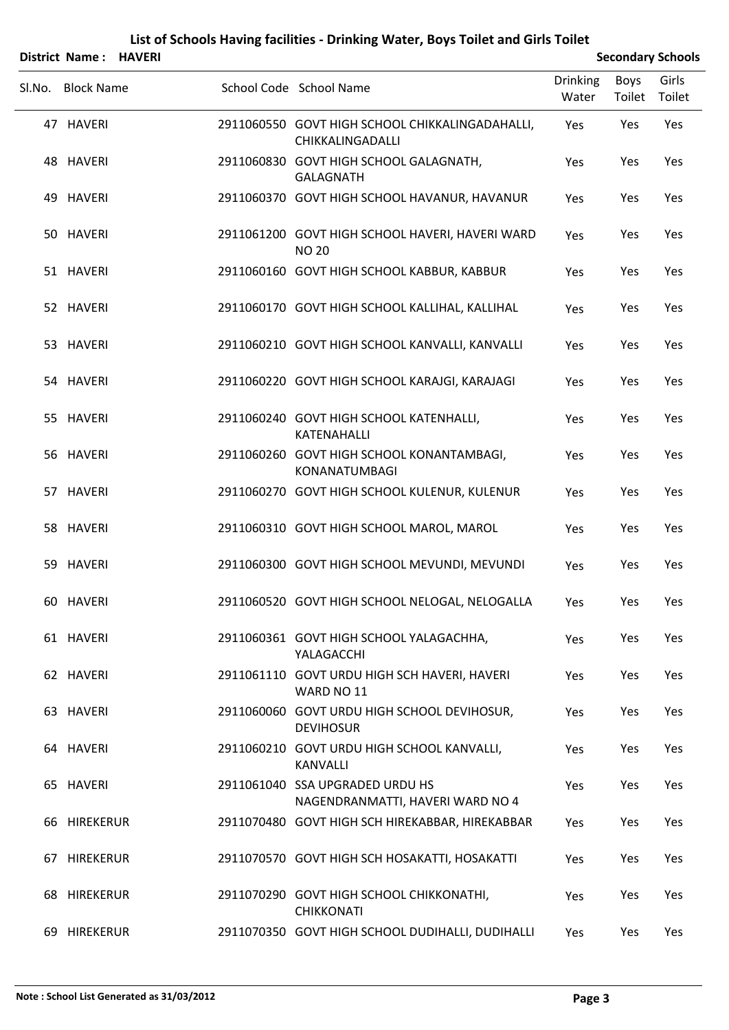|        | District Name: HAVERI |  |                                                                     |                          |                | <b>Secondary Schools</b> |
|--------|-----------------------|--|---------------------------------------------------------------------|--------------------------|----------------|--------------------------|
| Sl.No. | <b>Block Name</b>     |  | School Code School Name                                             | <b>Drinking</b><br>Water | Boys<br>Toilet | Girls<br>Toilet          |
|        | 47 HAVERI             |  | 2911060550 GOVT HIGH SCHOOL CHIKKALINGADAHALLI,<br>CHIKKALINGADALLI | Yes                      | Yes            | Yes                      |
|        | 48 HAVERI             |  | 2911060830 GOVT HIGH SCHOOL GALAGNATH,<br><b>GALAGNATH</b>          | Yes                      | Yes            | Yes                      |
|        | 49 HAVERI             |  | 2911060370 GOVT HIGH SCHOOL HAVANUR, HAVANUR                        | Yes                      | Yes            | Yes                      |
|        | 50 HAVERI             |  | 2911061200 GOVT HIGH SCHOOL HAVERI, HAVERI WARD<br><b>NO 20</b>     | Yes                      | Yes            | Yes                      |
|        | 51 HAVERI             |  | 2911060160 GOVT HIGH SCHOOL KABBUR, KABBUR                          | Yes                      | Yes            | Yes                      |
|        | 52 HAVERI             |  | 2911060170 GOVT HIGH SCHOOL KALLIHAL, KALLIHAL                      | Yes                      | Yes            | Yes                      |
|        | 53 HAVERI             |  | 2911060210 GOVT HIGH SCHOOL KANVALLI, KANVALLI                      | Yes                      | Yes            | Yes                      |
|        | 54 HAVERI             |  | 2911060220 GOVT HIGH SCHOOL KARAJGI, KARAJAGI                       | Yes                      | Yes            | Yes                      |
|        | 55 HAVERI             |  | 2911060240 GOVT HIGH SCHOOL KATENHALLI,<br>KATENAHALLI              | Yes                      | Yes            | Yes                      |
|        | 56 HAVERI             |  | 2911060260 GOVT HIGH SCHOOL KONANTAMBAGI,<br><b>KONANATUMBAGI</b>   | Yes                      | Yes            | Yes                      |
|        | 57 HAVERI             |  | 2911060270 GOVT HIGH SCHOOL KULENUR, KULENUR                        | Yes                      | Yes            | Yes                      |
|        | 58 HAVERI             |  | 2911060310 GOVT HIGH SCHOOL MAROL, MAROL                            | Yes                      | Yes            | Yes                      |
|        | 59 HAVERI             |  | 2911060300 GOVT HIGH SCHOOL MEVUNDI, MEVUNDI                        | Yes                      | Yes            | Yes                      |
|        | 60 HAVERI             |  | 2911060520 GOVT HIGH SCHOOL NELOGAL, NELOGALLA                      | Yes                      | Yes            | Yes                      |
|        | 61 HAVERI             |  | 2911060361 GOVT HIGH SCHOOL YALAGACHHA,<br>YALAGACCHI               | Yes                      | Yes            | Yes                      |
|        | 62 HAVERI             |  | 2911061110 GOVT URDU HIGH SCH HAVERI, HAVERI<br>WARD NO 11          | Yes                      | Yes            | Yes                      |
|        | 63 HAVERI             |  | 2911060060 GOVT URDU HIGH SCHOOL DEVIHOSUR,<br><b>DEVIHOSUR</b>     | Yes                      | Yes            | Yes                      |
|        | 64 HAVERI             |  | 2911060210 GOVT URDU HIGH SCHOOL KANVALLI,<br><b>KANVALLI</b>       | Yes                      | Yes            | Yes                      |
|        | 65 HAVERI             |  | 2911061040 SSA UPGRADED URDU HS<br>NAGENDRANMATTI, HAVERI WARD NO 4 | Yes                      | Yes            | Yes                      |
|        | 66 HIREKERUR          |  | 2911070480 GOVT HIGH SCH HIREKABBAR, HIREKABBAR                     | Yes                      | Yes            | Yes                      |
|        | 67 HIREKERUR          |  | 2911070570 GOVT HIGH SCH HOSAKATTI, HOSAKATTI                       | Yes                      | Yes            | Yes                      |
|        | 68 HIREKERUR          |  | 2911070290 GOVT HIGH SCHOOL CHIKKONATHI,<br>CHIKKONATI              | Yes                      | Yes            | Yes                      |
|        | 69 HIREKERUR          |  | 2911070350 GOVT HIGH SCHOOL DUDIHALLI, DUDIHALLI                    | Yes                      | Yes            | Yes                      |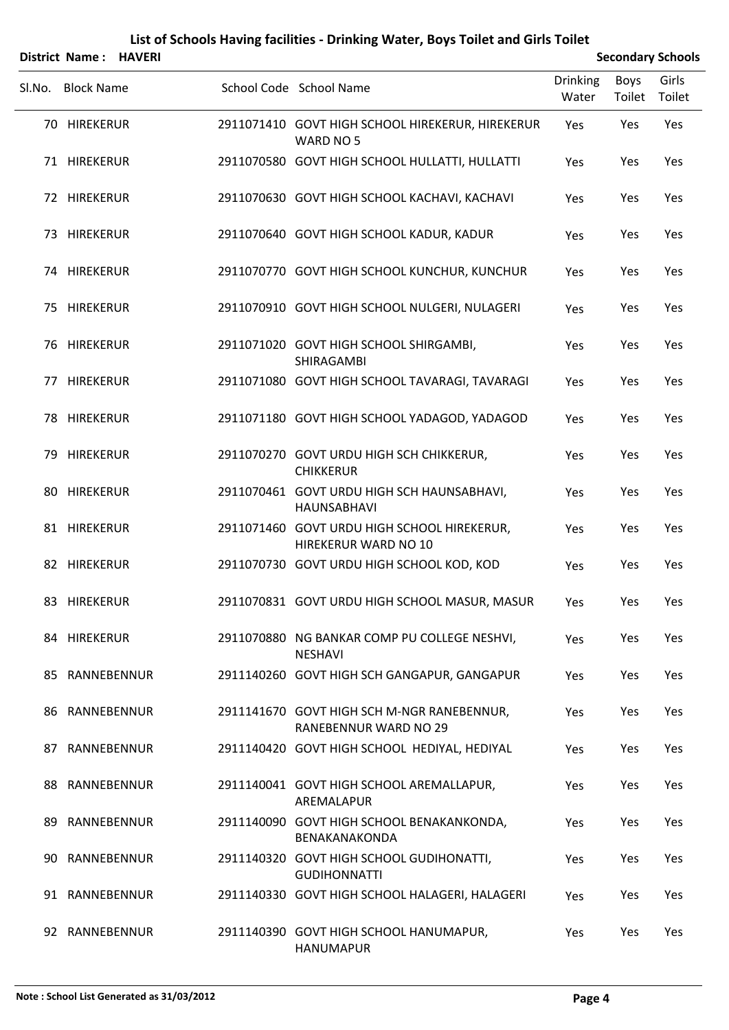# SLNo. Block Name School Code School Name Drinking Water Boys Toilet Girls Toilet **District Name : HAVERI Secondary** Schools HIREKERUR 2911071410 GOVT HIGH SCHOOL HIREKERUR, HIREKERUR 70 Yes Yes Yes WARD NO 5 71 HIREKERUR 2911070580 GOVT HIGH SCHOOL HULLATTI, HULLATTI Yes Yes Yes 72 HIREKERUR 2911070630 GOVT HIGH SCHOOL KACHAVI, KACHAVI Yes Yes Yes 73 HIREKERUR 2911070640 GOVT HIGH SCHOOL KADUR, KADUR Yes Yes Yes 74 HIREKERUR 2911070770 GOVT HIGH SCHOOL KUNCHUR, KUNCHUR Yes Yes Yes 75 HIREKERUR 2911070910 GOVT HIGH SCHOOL NULGERI, NULAGERI Yes Yes Yes HIREKERUR 2911071020 GOVT HIGH SCHOOL SHIRGAMBI, 76 Yes Yes Yes SHIRAGAMBI 77 HIREKERUR 2911071080 GOVT HIGH SCHOOL TAVARAGI, TAVARAGI Yes Yes Yes 78 HIREKERUR 2911071180 GOVT HIGH SCHOOL YADAGOD, YADAGOD Yes Yes Yes HIREKERUR 2911070270 GOVT URDU HIGH SCH CHIKKERUR, 79 Yes Yes Yes CHIKKERUR HIREKERUR 2911070461 GOVT URDU HIGH SCH HAUNSABHAVI, 80 Yes Yes Yes HAUNSABHAVI HIREKERUR 2911071460 GOVT URDU HIGH SCHOOL HIREKERUR, 81 Yes Yes Yes HIREKERUR WARD NO 10 82 HIREKERUR 2911070730 GOVT URDU HIGH SCHOOL KOD, KOD Yes Yes Yes 83 HIREKERUR 2911070831 GOVT URDU HIGH SCHOOL MASUR, MASUR Yes Yes Yes HIREKERUR 2911070880 NG BANKAR COMP PU COLLEGE NESHVI, 84 Yes Yes Yes NESHAVI 85 RANNEBENNUR 2911140260 GOVT HIGH SCH GANGAPUR, GANGAPUR Yes Yes Yes RANNEBENNUR 2911141670 GOVT HIGH SCH M‐NGR RANEBENNUR, 86 Yes Yes Yes RANEBENNUR WARD NO 29 87 RANNEBENNUR 2911140420 GOVT HIGH SCHOOL HEDIYAL, HEDIYAL Yes Yes Yes RANNEBENNUR 2911140041 GOVT HIGH SCHOOL AREMALLAPUR, 88 Yes Yes Yes AREMALAPUR RANNEBENNUR 2911140090 GOVT HIGH SCHOOL BENAKANKONDA, 89 Yes Yes Yes BENAKANAKONDA RANNEBENNUR 2911140320 GOVT HIGH SCHOOL GUDIHONATTI, 90 Yes Yes Yes GUDIHONNATTI 91 RANNEBENNUR 2911140330 GOVT HIGH SCHOOL HALAGERI, HALAGERI Yes Yes Yes 92 RANNEBENNUR 2911140390 GOVT HIGH SCHOOL HANUMAPUR, Yes Yes Yes

HANUMAPUR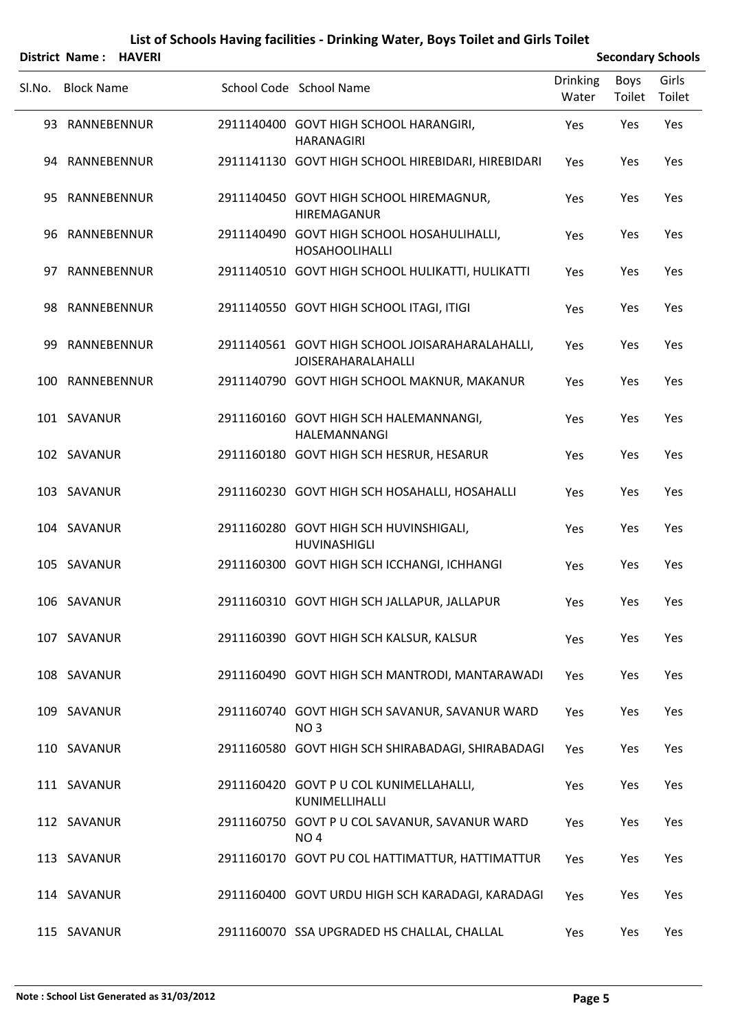|    | District Name: HAVERI |  |                                                                              |                          |                       | <b>Secondary Schools</b> |
|----|-----------------------|--|------------------------------------------------------------------------------|--------------------------|-----------------------|--------------------------|
|    | Sl.No. Block Name     |  | School Code School Name                                                      | <b>Drinking</b><br>Water | <b>Boys</b><br>Toilet | Girls<br>Toilet          |
|    | 93 RANNEBENNUR        |  | 2911140400 GOVT HIGH SCHOOL HARANGIRI,<br><b>HARANAGIRI</b>                  | Yes                      | Yes                   | Yes                      |
|    | 94 RANNEBENNUR        |  | 2911141130 GOVT HIGH SCHOOL HIREBIDARI, HIREBIDARI                           | Yes                      | Yes                   | Yes                      |
| 95 | RANNEBENNUR           |  | 2911140450 GOVT HIGH SCHOOL HIREMAGNUR,<br>HIREMAGANUR                       | Yes                      | Yes                   | Yes                      |
|    | 96 RANNEBENNUR        |  | 2911140490 GOVT HIGH SCHOOL HOSAHULIHALLI,<br><b>HOSAHOOLIHALLI</b>          | Yes                      | Yes                   | Yes                      |
| 97 | RANNEBENNUR           |  | 2911140510 GOVT HIGH SCHOOL HULIKATTI, HULIKATTI                             | Yes                      | Yes                   | Yes                      |
|    | 98 RANNEBENNUR        |  | 2911140550 GOVT HIGH SCHOOL ITAGI, ITIGI                                     | Yes                      | Yes                   | Yes                      |
| 99 | RANNEBENNUR           |  | 2911140561 GOVT HIGH SCHOOL JOISARAHARALAHALLI,<br><b>JOISERAHARALAHALLI</b> | Yes                      | Yes                   | Yes                      |
|    | 100 RANNEBENNUR       |  | 2911140790 GOVT HIGH SCHOOL MAKNUR, MAKANUR                                  | Yes                      | Yes                   | Yes                      |
|    | 101 SAVANUR           |  | 2911160160 GOVT HIGH SCH HALEMANNANGI,<br>HALEMANNANGI                       | Yes                      | Yes                   | Yes                      |
|    | 102 SAVANUR           |  | 2911160180 GOVT HIGH SCH HESRUR, HESARUR                                     | Yes                      | Yes                   | Yes                      |
|    | 103 SAVANUR           |  | 2911160230 GOVT HIGH SCH HOSAHALLI, HOSAHALLI                                | Yes                      | Yes                   | Yes                      |
|    | 104 SAVANUR           |  | 2911160280 GOVT HIGH SCH HUVINSHIGALI,<br>HUVINASHIGLI                       | Yes                      | Yes                   | Yes                      |
|    | 105 SAVANUR           |  | 2911160300 GOVT HIGH SCH ICCHANGI, ICHHANGI                                  | Yes                      | Yes                   | Yes                      |
|    | 106 SAVANUR           |  | 2911160310 GOVT HIGH SCH JALLAPUR, JALLAPUR                                  | Yes                      | Yes                   | Yes                      |
|    | 107 SAVANUR           |  | 2911160390 GOVT HIGH SCH KALSUR, KALSUR                                      | Yes                      | Yes                   | Yes                      |
|    | 108 SAVANUR           |  | 2911160490 GOVT HIGH SCH MANTRODI, MANTARAWADI                               | Yes                      | Yes                   | Yes                      |
|    | 109 SAVANUR           |  | 2911160740 GOVT HIGH SCH SAVANUR, SAVANUR WARD<br>NO <sub>3</sub>            | Yes                      | Yes                   | Yes                      |
|    | 110 SAVANUR           |  | 2911160580 GOVT HIGH SCH SHIRABADAGI, SHIRABADAGI                            | Yes                      | Yes                   | Yes                      |
|    | 111 SAVANUR           |  | 2911160420 GOVT P U COL KUNIMELLAHALLI,<br>KUNIMELLIHALLI                    | Yes                      | Yes                   | Yes                      |
|    | 112 SAVANUR           |  | 2911160750 GOVT P U COL SAVANUR, SAVANUR WARD<br>NO <sub>4</sub>             | Yes                      | Yes                   | Yes                      |
|    | 113 SAVANUR           |  | 2911160170 GOVT PU COL HATTIMATTUR, HATTIMATTUR                              | Yes                      | Yes                   | Yes                      |
|    | 114 SAVANUR           |  | 2911160400 GOVT URDU HIGH SCH KARADAGI, KARADAGI                             | Yes                      | Yes                   | Yes                      |
|    | 115 SAVANUR           |  | 2911160070 SSA UPGRADED HS CHALLAL, CHALLAL                                  | Yes                      | Yes                   | Yes                      |